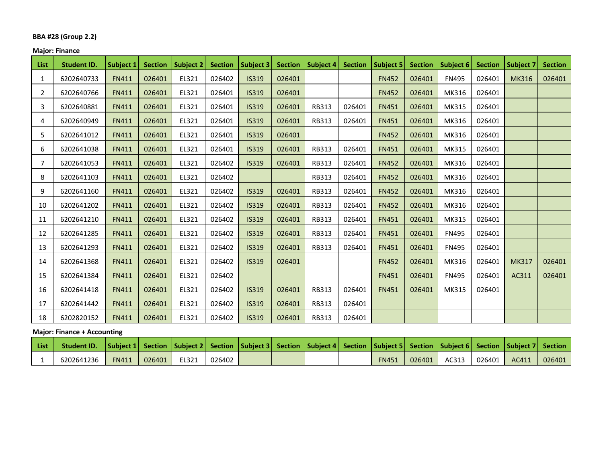#### **BBA #28 (Group 2.2)**

## **Major: Finance**

| <b>List</b>    | <b>Student ID.</b> | <b>Subject 1</b> | <b>Section</b> | <b>Subject 2</b> | <b>Section</b> | <b>Subject 3</b> | <b>Section</b> | <b>Subject 4</b> | <b>Section</b> | <b>Subject 5</b> | <b>Section</b> | Subject 6    | <b>Section</b> | <b>Subject 7</b> | <b>Section</b> |
|----------------|--------------------|------------------|----------------|------------------|----------------|------------------|----------------|------------------|----------------|------------------|----------------|--------------|----------------|------------------|----------------|
| 1              | 6202640733         | <b>FN411</b>     | 026401         | EL321            | 026402         | <b>IS319</b>     | 026401         |                  |                | <b>FN452</b>     | 026401         | <b>FN495</b> | 026401         | <b>MK316</b>     | 026401         |
| 2              | 6202640766         | <b>FN411</b>     | 026401         | EL321            | 026401         | <b>IS319</b>     | 026401         |                  |                | <b>FN452</b>     | 026401         | MK316        | 026401         |                  |                |
| 3              | 6202640881         | <b>FN411</b>     | 026401         | EL321            | 026401         | <b>IS319</b>     | 026401         | <b>RB313</b>     | 026401         | <b>FN451</b>     | 026401         | MK315        | 026401         |                  |                |
| 4              | 6202640949         | <b>FN411</b>     | 026401         | EL321            | 026401         | <b>IS319</b>     | 026401         | <b>RB313</b>     | 026401         | <b>FN451</b>     | 026401         | MK316        | 026401         |                  |                |
| 5              | 6202641012         | <b>FN411</b>     | 026401         | EL321            | 026401         | <b>IS319</b>     | 026401         |                  |                | <b>FN452</b>     | 026401         | MK316        | 026401         |                  |                |
| 6              | 6202641038         | <b>FN411</b>     | 026401         | EL321            | 026401         | <b>IS319</b>     | 026401         | <b>RB313</b>     | 026401         | <b>FN451</b>     | 026401         | MK315        | 026401         |                  |                |
| $\overline{7}$ | 6202641053         | <b>FN411</b>     | 026401         | EL321            | 026402         | <b>IS319</b>     | 026401         | <b>RB313</b>     | 026401         | <b>FN452</b>     | 026401         | MK316        | 026401         |                  |                |
| 8              | 6202641103         | <b>FN411</b>     | 026401         | EL321            | 026402         |                  |                | <b>RB313</b>     | 026401         | <b>FN452</b>     | 026401         | MK316        | 026401         |                  |                |
| 9              | 6202641160         | <b>FN411</b>     | 026401         | EL321            | 026402         | <b>IS319</b>     | 026401         | RB313            | 026401         | <b>FN452</b>     | 026401         | MK316        | 026401         |                  |                |
| 10             | 6202641202         | <b>FN411</b>     | 026401         | EL321            | 026402         | <b>IS319</b>     | 026401         | <b>RB313</b>     | 026401         | <b>FN452</b>     | 026401         | MK316        | 026401         |                  |                |
| 11             | 6202641210         | <b>FN411</b>     | 026401         | EL321            | 026402         | <b>IS319</b>     | 026401         | <b>RB313</b>     | 026401         | <b>FN451</b>     | 026401         | MK315        | 026401         |                  |                |
| 12             | 6202641285         | <b>FN411</b>     | 026401         | EL321            | 026402         | <b>IS319</b>     | 026401         | <b>RB313</b>     | 026401         | <b>FN451</b>     | 026401         | <b>FN495</b> | 026401         |                  |                |
| 13             | 6202641293         | <b>FN411</b>     | 026401         | EL321            | 026402         | <b>IS319</b>     | 026401         | <b>RB313</b>     | 026401         | <b>FN451</b>     | 026401         | <b>FN495</b> | 026401         |                  |                |
| 14             | 6202641368         | <b>FN411</b>     | 026401         | EL321            | 026402         | <b>IS319</b>     | 026401         |                  |                | <b>FN452</b>     | 026401         | MK316        | 026401         | <b>MK317</b>     | 026401         |
| 15             | 6202641384         | <b>FN411</b>     | 026401         | EL321            | 026402         |                  |                |                  |                | <b>FN451</b>     | 026401         | <b>FN495</b> | 026401         | AC311            | 026401         |
| 16             | 6202641418         | <b>FN411</b>     | 026401         | EL321            | 026402         | <b>IS319</b>     | 026401         | <b>RB313</b>     | 026401         | <b>FN451</b>     | 026401         | MK315        | 026401         |                  |                |
| 17             | 6202641442         | <b>FN411</b>     | 026401         | EL321            | 026402         | <b>IS319</b>     | 026401         | <b>RB313</b>     | 026401         |                  |                |              |                |                  |                |
| 18             | 6202820152         | <b>FN411</b>     | 026401         | EL321            | 026402         | <b>IS319</b>     | 026401         | <b>RB313</b>     | 026401         |                  |                |              |                |                  |                |

### **Major: Finance + Accounting**

| List | Student ID. Subject 1 Section Subject 2 Section Subject 3 Section Subject 4 Section Subject 5 Section Subject 6 Section Subject 7 Section |              |        |       |        |  |  |              |        |                |       |        |
|------|-------------------------------------------------------------------------------------------------------------------------------------------|--------------|--------|-------|--------|--|--|--------------|--------|----------------|-------|--------|
|      | 6202641236                                                                                                                                | <b>FN411</b> | 026401 | EL321 | 026402 |  |  | <b>FN451</b> | 026401 | AC313   026401 | AC411 | 026401 |